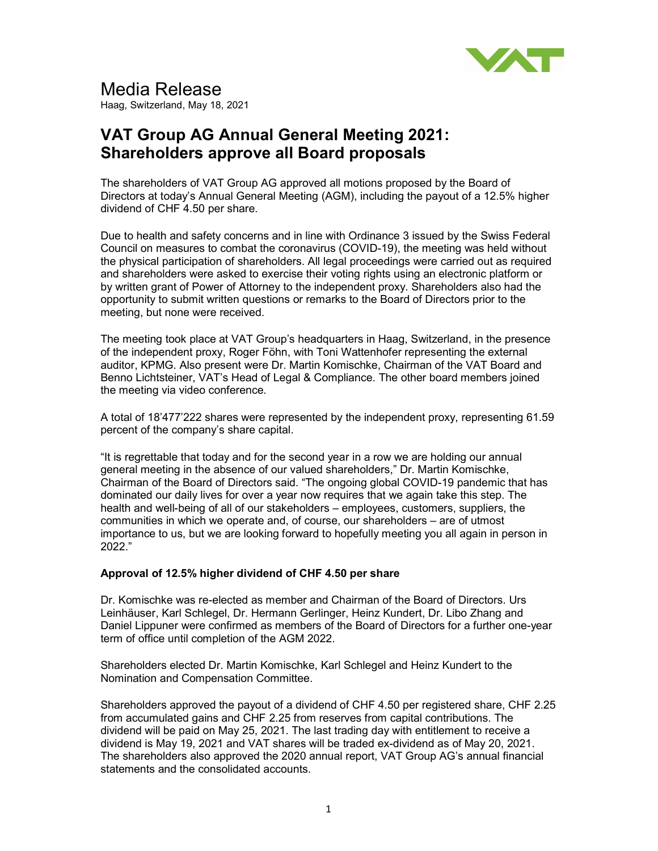

# Media Release

Haag, Switzerland, May 18, 2021

## VAT Group AG Annual General Meeting 2021: Shareholders approve all Board proposals

The shareholders of VAT Group AG approved all motions proposed by the Board of Directors at today's Annual General Meeting (AGM), including the payout of a 12.5% higher dividend of CHF 4.50 per share.

Due to health and safety concerns and in line with Ordinance 3 issued by the Swiss Federal Council on measures to combat the coronavirus (COVID-19), the meeting was held without the physical participation of shareholders. All legal proceedings were carried out as required and shareholders were asked to exercise their voting rights using an electronic platform or by written grant of Power of Attorney to the independent proxy. Shareholders also had the opportunity to submit written questions or remarks to the Board of Directors prior to the meeting, but none were received.

The meeting took place at VAT Group's headquarters in Haag, Switzerland, in the presence of the independent proxy, Roger Föhn, with Toni Wattenhofer representing the external auditor, KPMG. Also present were Dr. Martin Komischke, Chairman of the VAT Board and Benno Lichtsteiner, VAT's Head of Legal & Compliance. The other board members joined the meeting via video conference.

A total of 18'477'222 shares were represented by the independent proxy, representing 61.59 percent of the company's share capital.

"It is regrettable that today and for the second year in a row we are holding our annual general meeting in the absence of our valued shareholders," Dr. Martin Komischke, Chairman of the Board of Directors said. "The ongoing global COVID-19 pandemic that has dominated our daily lives for over a year now requires that we again take this step. The health and well-being of all of our stakeholders – employees, customers, suppliers, the communities in which we operate and, of course, our shareholders – are of utmost importance to us, but we are looking forward to hopefully meeting you all again in person in 2022."

#### Approval of 12.5% higher dividend of CHF 4.50 per share

Dr. Komischke was re-elected as member and Chairman of the Board of Directors. Urs Leinhäuser, Karl Schlegel, Dr. Hermann Gerlinger, Heinz Kundert, Dr. Libo Zhang and Daniel Lippuner were confirmed as members of the Board of Directors for a further one-year term of office until completion of the AGM 2022.

Shareholders elected Dr. Martin Komischke, Karl Schlegel and Heinz Kundert to the Nomination and Compensation Committee.

Shareholders approved the payout of a dividend of CHF 4.50 per registered share, CHF 2.25 from accumulated gains and CHF 2.25 from reserves from capital contributions. The dividend will be paid on May 25, 2021. The last trading day with entitlement to receive a dividend is May 19, 2021 and VAT shares will be traded ex-dividend as of May 20, 2021. The shareholders also approved the 2020 annual report, VAT Group AG's annual financial statements and the consolidated accounts.